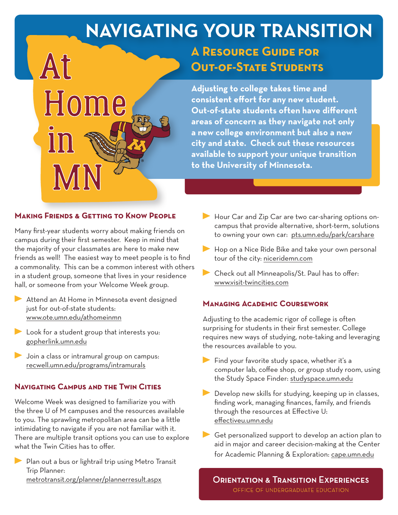# **NAVIGATING YOUR TRANSITION**

## **A Resource Guide for Out-of-State Students**

**Adjusting to college takes time and consistent effort for any new student. Out-of-state students often have different areas of concern as they navigate not only a new college environment but also a new city and state. Check out these resources available to support your unique transition to the University of Minnesota.**

#### **Making Friends & Getting to Know People**

Home

At

Many first-year students worry about making friends on campus during their first semester. Keep in mind that the majority of your classmates are here to make new friends as well! The easiest way to meet people is to find a commonality. This can be a common interest with others in a student group, someone that lives in your residence hall, or someone from your Welcome Week group.

- Attend an At Home in Minnesota event designed just for out-of-state students: www.ote.umn.edu/athomeinmn
- Look for a student group that interests you: gopherlink.umn.edu
- **Join a class or intramural group on campus:** recwell.umn.edu/programs/intramurals

#### **Navigating Campus and the Twin Cities**

Welcome Week was designed to familiarize you with the three U of M campuses and the resources available to you. The sprawling metropolitan area can be a little intimidating to navigate if you are not familiar with it. There are multiple transit options you can use to explore what the Twin Cities has to offer.

Plan out a bus or lightrail trip using Metro Transit Trip Planner: metrotransit.org/planner/plannerresult.aspx

- Hour Car and Zip Car are two car-sharing options oncampus that provide alternative, short-term, solutions to owning your own car: pts.umn.edu/park/carshare
- Hop on a Nice Ride Bike and take your own personal tour of the city: niceridemn.com
- Check out all Minneapolis/St. Paul has to offer: www.visit-twincities.com

#### **Managing Academic Coursework**

Adjusting to the academic rigor of college is often surprising for students in their first semester. College requires new ways of studying, note-taking and leveraging the resources available to you.

- Find your favorite study space, whether it's a computer lab, coffee shop, or group study room, using the Study Space Finder: studyspace.umn.edu
- Develop new skills for studying, keeping up in classes, finding work, managing finances, family, and friends through the resources at Effective U: effectiveu.umn.edu
- Get personalized support to develop an action plan to aid in major and career decision-making at the Center for Academic Planning & Exploration: cape.umn.edu

**ORIENTATION & TRANSITION EXPERIENCES** OFFICE OF UNDERGRADUATE EDUCATION